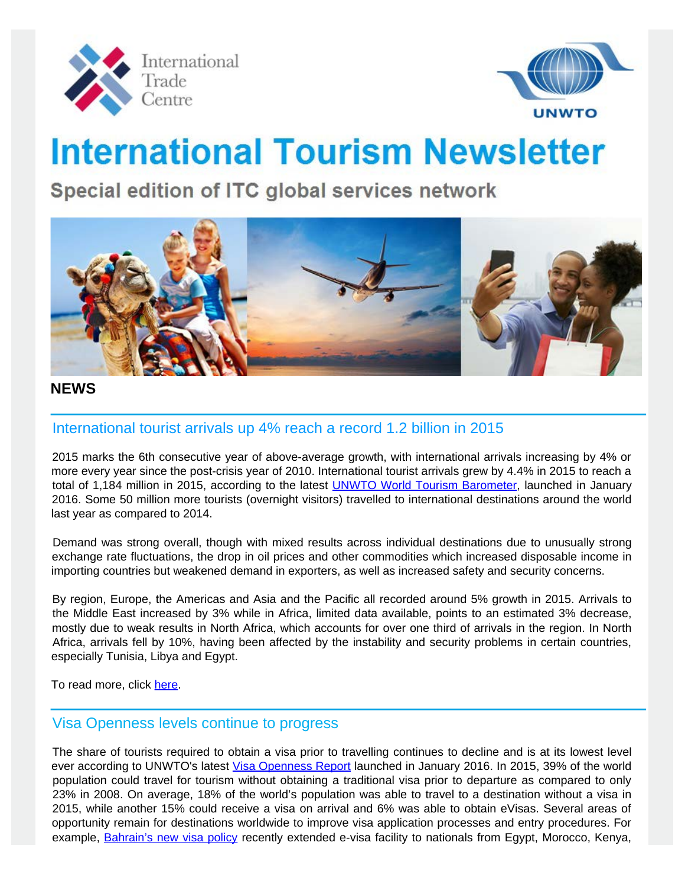



# **International Tourism Newsletter**

Special edition of ITC global services network



# **NEWS**

# International tourist arrivals up 4% reach a record 1.2 billion in 2015

 2015 marks the 6th consecutive year of above-average growth, with international arrivals increasing by 4% or more every year since the post-crisis year of 2010. International tourist arrivals grew by 4.4% in 2015 to reach a total of 1,184 million in 2015, according to the latest **[UNWTO World Tourism Barometer](http://mkt.unwto.org/barometer)**, launched in January 2016. Some 50 million more tourists (overnight visitors) travelled to international destinations around the world last year as compared to 2014.

Demand was strong overall, though with mixed results across individual destinations due to unusually strong exchange rate fluctuations, the drop in oil prices and other commodities which increased disposable income in importing countries but weakened demand in exporters, as well as increased safety and security concerns.

By region, Europe, the Americas and Asia and the Pacific all recorded around 5% growth in 2015. Arrivals to the Middle East increased by 3% while in Africa, limited data available, points to an estimated 3% decrease, mostly due to weak results in North Africa, which accounts for over one third of arrivals in the region. In North Africa, arrivals fell by 10%, having been affected by the instability and security problems in certain countries, especially Tunisia, Libya and Egypt.

To read more, click [here](http://media.unwto.org/press-release/2016-01-18/international-tourist-arrivals-4-reach-record-12-billion-2015).

# Visa Openness levels continue to progress

 The share of tourists required to obtain a visa prior to travelling continues to decline and is at its lowest level ever according to UNWTO's latest [Visa Openness Report](http://rcm.unwto.org/content/facilitation-tourist-travel) launched in January 2016. In 2015, 39% of the world population could travel for tourism without obtaining a traditional visa prior to departure as compared to only 23% in 2008. On average, 18% of the world's population was able to travel to a destination without a visa in 2015, while another 15% could receive a visa on arrival and 6% was able to obtain eVisas. Several areas of opportunity remain for destinations worldwide to improve visa application processes and entry procedures. For example, [Bahrain's new visa policy](http://www.evisa.gov.bh/) recently extended e-visa facility to nationals from Egypt, Morocco, Kenya,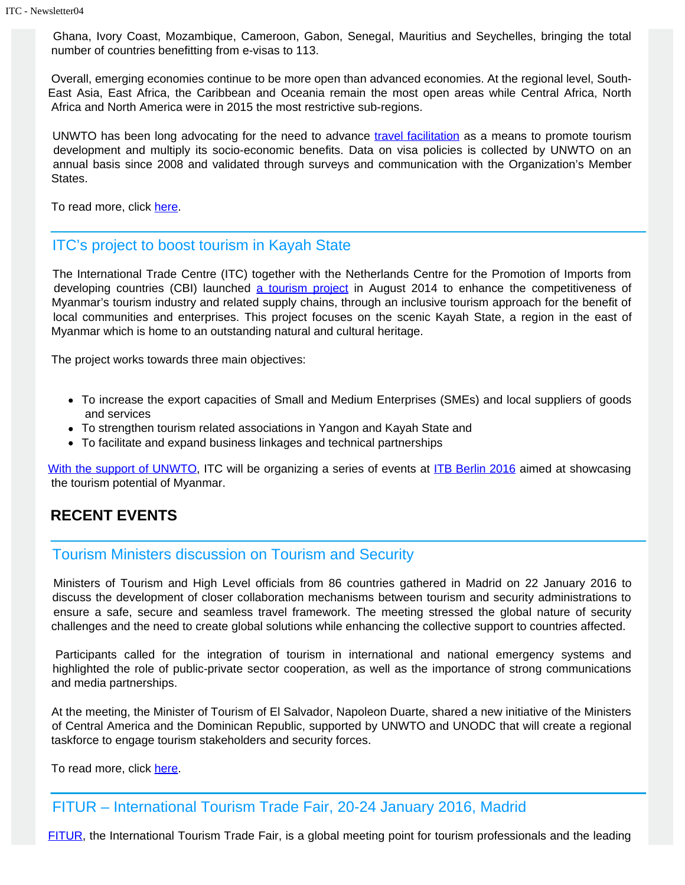Ghana, Ivory Coast, Mozambique, Cameroon, Gabon, Senegal, Mauritius and Seychelles, bringing the total number of countries benefitting from e-visas to 113.

Overall, emerging economies continue to be more open than advanced economies. At the regional level, South-East Asia, East Africa, the Caribbean and Oceania remain the most open areas while Central Africa, North Africa and North America were in 2015 the most restrictive sub-regions.

UNWTO has been long advocating for the need to advance [travel facilitation](http://rcm.unwto.org/content/facilitation-tourist-travel) as a means to promote tourism development and multiply its socio-economic benefits. Data on visa policies is collected by UNWTO on an annual basis since 2008 and validated through surveys and communication with the Organization's Member States.

To read more, click [here](http://media.unwto.org/press-release/2016-01-14/visa-openness-levels-continue-progress).

### ITC's project to boost tourism in Kayah State

 The International Trade Centre (ITC) together with the Netherlands Centre for the Promotion of Imports from developing countries (CBI) launched [a tourism project](http://www.intracen.org/itc/projects/ntf-3/myanmar/) in August 2014 to enhance the competitiveness of Myanmar's tourism industry and related supply chains, through an inclusive tourism approach for the benefit of local communities and enterprises. This project focuses on the scenic Kayah State, a region in the east of Myanmar which is home to an outstanding natural and cultural heritage.

The project works towards three main objectives:

- To increase the export capacities of Small and Medium Enterprises (SMEs) and local suppliers of goods and services
- To strengthen tourism related associations in Yangon and Kayah State and
- To facilitate and expand business linkages and technical partnerships

[With the support of UNWTO,](http://silkroad.unwto.org/news/2016-02-08/world-tourism-organization-unwto-supporting-international-trade-center-itc-promoting) ITC will be organizing a series of events at [ITB Berlin 2016](#page-2-0) aimed at showcasing the tourism potential of Myanmar.

# **RECENT EVENTS**

#### Tourism Ministers discussion on Tourism and Security

 Ministers of Tourism and High Level officials from 86 countries gathered in Madrid on 22 January 2016 to discuss the development of closer collaboration mechanisms between tourism and security administrations to ensure a safe, secure and seamless travel framework. The meeting stressed the global nature of security challenges and the need to create global solutions while enhancing the collective support to countries affected.

 Participants called for the integration of tourism in international and national emergency systems and highlighted the role of public-private sector cooperation, as well as the importance of strong communications and media partnerships.

At the meeting, the Minister of Tourism of El Salvador, Napoleon Duarte, shared a new initiative of the Ministers of Central America and the Dominican Republic, supported by UNWTO and UNODC that will create a regional taskforce to engage tourism stakeholders and security forces.

To read more, click [here](http://media.unwto.org/press-release/2016-01-25/tourism-ministers-discuss-collaboration-between-tourism-and-security).

# FITUR – International Tourism Trade Fair, 20-24 January 2016, Madrid

[FITUR,](http://www.ifema.es/fitur_06/) the International Tourism Trade Fair, is a global meeting point for tourism professionals and the leading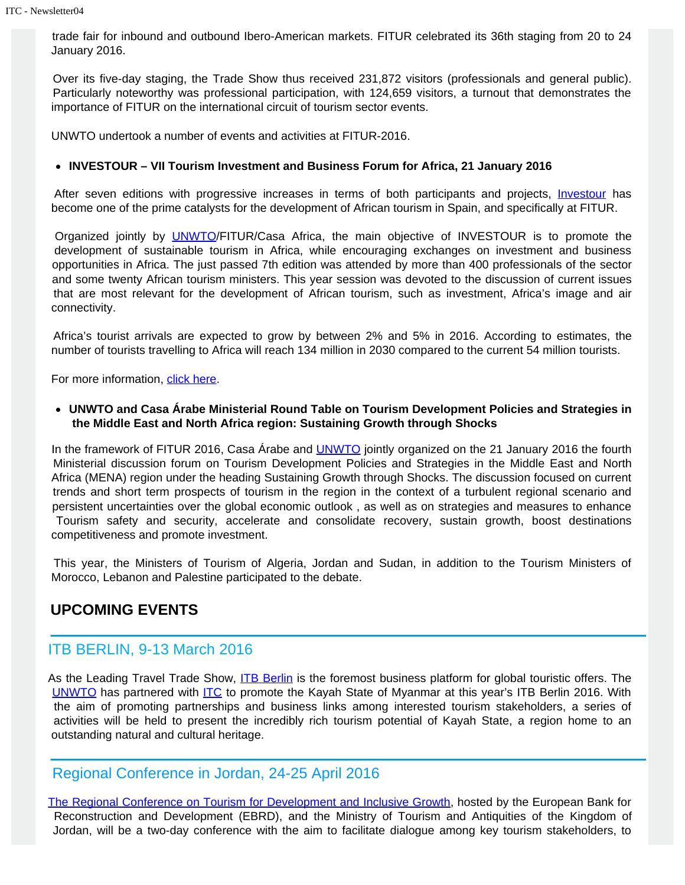trade fair for inbound and outbound Ibero-American markets. FITUR celebrated its 36th staging from 20 to 24 January 2016.

Over its five-day staging, the Trade Show thus received 231,872 visitors (professionals and general public). Particularly noteworthy was professional participation, with 124,659 visitors, a turnout that demonstrates the importance of FITUR on the international circuit of tourism sector events.

UNWTO undertook a number of events and activities at FITUR-2016.

#### **INVESTOUR – VII Tourism Investment and Business Forum for Africa, 21 January 2016**

After seven editions with progressive increases in terms of both participants and projects, *[Investour](http://africa.unwto.org/event/vii-tourism-investment-and-business-forum-africa-investour-2016)* has become one of the prime catalysts for the development of African tourism in Spain, and specifically at FITUR.

Organized jointly by **[UNWTO](http://africa.unwto.org/)/FITUR/Casa Africa**, the main objective of INVESTOUR is to promote the development of sustainable tourism in Africa, while encouraging exchanges on investment and business opportunities in Africa. The just passed 7th edition was attended by more than 400 professionals of the sector and some twenty African tourism ministers. This year session was devoted to the discussion of current issues that are most relevant for the development of African tourism, such as investment, Africa's image and air connectivity.

Africa's tourist arrivals are expected to grow by between 2% and 5% in 2016. According to estimates, the number of tourists travelling to Africa will reach 134 million in 2030 compared to the current 54 million tourists.

For more information, [click here](http://icr.unwto.org/news/2015-08-13/unwto-presents-special-event-financing-tourism-development).

**UNWTO and Casa Árabe Ministerial Round Table on Tourism Development Policies and Strategies in the Middle East and North Africa region: Sustaining Growth through Shocks**

In the framework of FITUR 2016, Casa Árabe and [UNWTO](http://middle-east.unwto.org/) jointly organized on the 21 January 2016 the fourth Ministerial discussion forum on Tourism Development Policies and Strategies in the Middle East and North Africa (MENA) region under the heading Sustaining Growth through Shocks. The discussion focused on current trends and short term prospects of tourism in the region in the context of a turbulent regional scenario and persistent uncertainties over the global economic outlook , as well as on strategies and measures to enhance Tourism safety and security, accelerate and consolidate recovery, sustain growth, boost destinations competitiveness and promote investment.

This year, the Ministers of Tourism of Algeria, Jordan and Sudan, in addition to the Tourism Ministers of Morocco, Lebanon and Palestine participated to the debate.

# **UPCOMING EVENTS**

# <span id="page-2-0"></span>ITB BERLIN, 9-13 March 2016

As the Leading Travel Trade Show, [ITB Berlin](http://www.itb-berlin.de/en/ITBBerlin/FactsFigures/) is the foremost business platform for global touristic offers. The [UNWTO](http://www2.unwto.org/event/itb-2016) has partnered with [ITC](http://www.intracen.org/itc/projects/ntf-3/myanmar/) to promote the Kayah State of Myanmar at this year's ITB Berlin 2016. With the aim of promoting partnerships and business links among interested tourism stakeholders, a series of activities will be held to present the incredibly rich tourism potential of Kayah State, a region home to an outstanding natural and cultural heritage.

# Regional Conference in Jordan, 24-25 April 2016

[The Regional Conference on Tourism for Development and Inclusive Growth](http://www.ebrd.com/news/2015/unwto-and-ebrd-partner-to-foster-inclusive-and-sustainable-tourism.html), hosted by the European Bank for Reconstruction and Development (EBRD), and the Ministry of Tourism and Antiquities of the Kingdom of Jordan, will be a two-day conference with the aim to facilitate dialogue among key tourism stakeholders, to